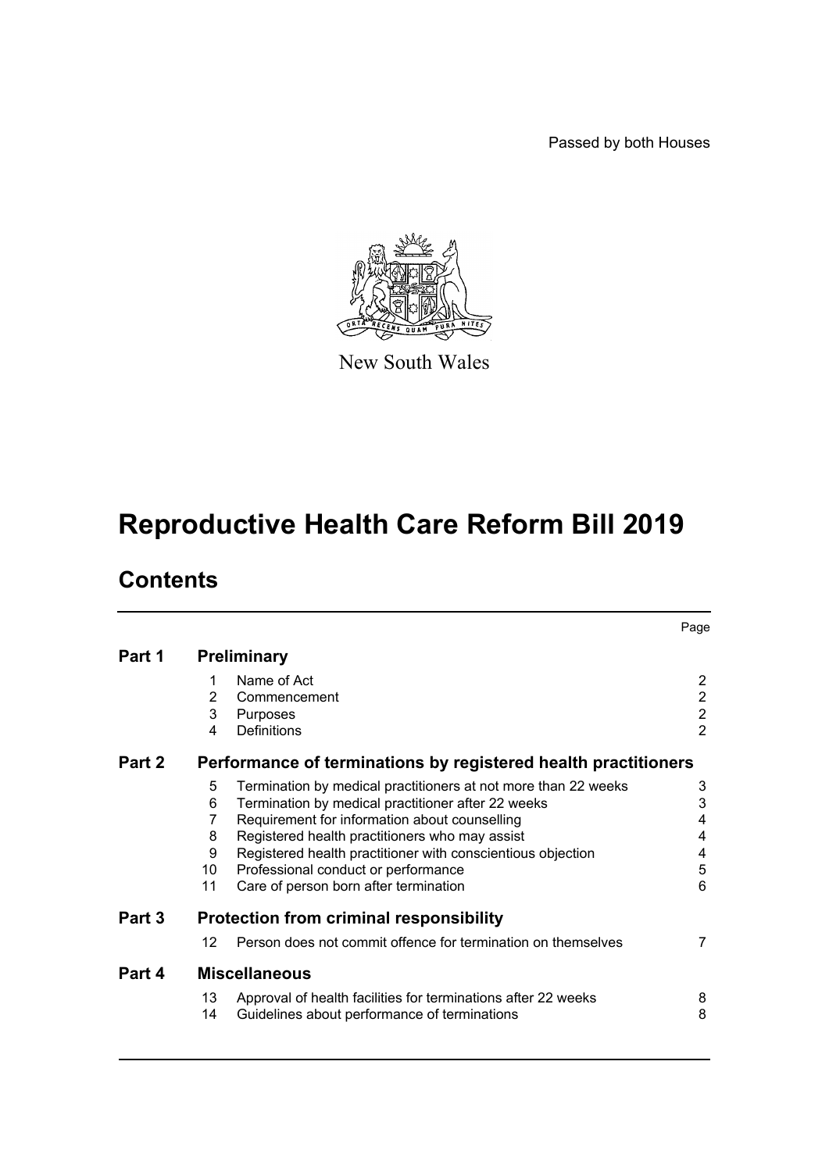Passed by both Houses



New South Wales

# **Reproductive Health Care Reform Bill 2019**

# **Contents**

|        |                                                                |                                                                | Page                                       |  |  |
|--------|----------------------------------------------------------------|----------------------------------------------------------------|--------------------------------------------|--|--|
| Part 1 | <b>Preliminary</b>                                             |                                                                |                                            |  |  |
|        | 1                                                              | Name of Act                                                    | $\overline{2}$                             |  |  |
|        | $\overline{2}$                                                 | Commencement                                                   |                                            |  |  |
|        | 3                                                              | Purposes                                                       | $\begin{array}{c} 2 \\ 2 \\ 2 \end{array}$ |  |  |
|        | 4                                                              | Definitions                                                    |                                            |  |  |
| Part 2 | Performance of terminations by registered health practitioners |                                                                |                                            |  |  |
|        | 5                                                              | Termination by medical practitioners at not more than 22 weeks | 3                                          |  |  |
|        | 6                                                              | Termination by medical practitioner after 22 weeks             | 3                                          |  |  |
|        | 7                                                              | Requirement for information about counselling                  | 4                                          |  |  |
|        | 8                                                              | Registered health practitioners who may assist                 | 4                                          |  |  |
|        | 9                                                              | Registered health practitioner with conscientious objection    | 4                                          |  |  |
|        | 10                                                             | Professional conduct or performance                            | 5                                          |  |  |
|        | 11                                                             | Care of person born after termination                          | $6\phantom{1}6$                            |  |  |
| Part 3 | <b>Protection from criminal responsibility</b>                 |                                                                |                                            |  |  |
|        | 12                                                             | Person does not commit offence for termination on themselves   | $\overline{7}$                             |  |  |
| Part 4 | <b>Miscellaneous</b>                                           |                                                                |                                            |  |  |
|        | 13                                                             | Approval of health facilities for terminations after 22 weeks  | 8                                          |  |  |
|        | 14                                                             | Guidelines about performance of terminations                   | 8                                          |  |  |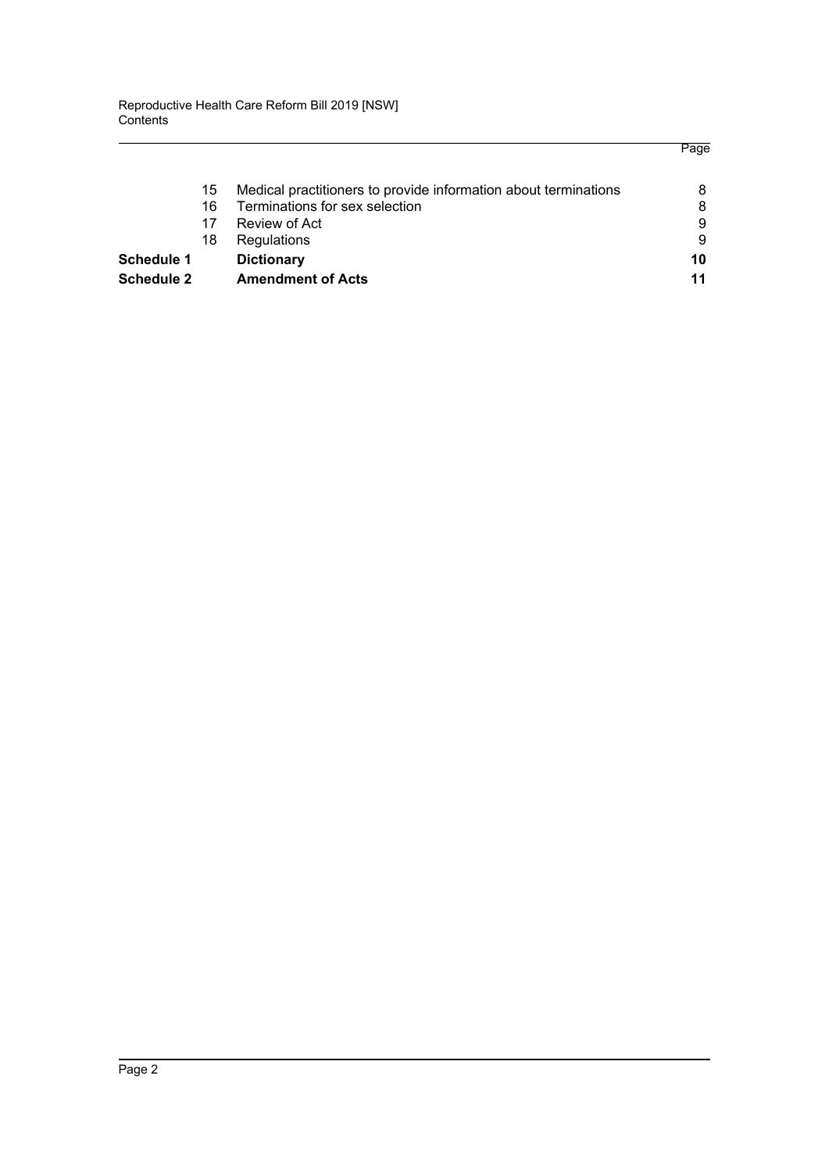|                   |    |                                                                 | Page |
|-------------------|----|-----------------------------------------------------------------|------|
|                   | 15 | Medical practitioners to provide information about terminations | 8    |
|                   | 16 | Terminations for sex selection                                  | 8    |
|                   | 17 | Review of Act                                                   | 9    |
|                   | 18 | Regulations                                                     | 9    |
| <b>Schedule 1</b> |    | <b>Dictionary</b>                                               | 10   |
| <b>Schedule 2</b> |    | <b>Amendment of Acts</b>                                        | 11   |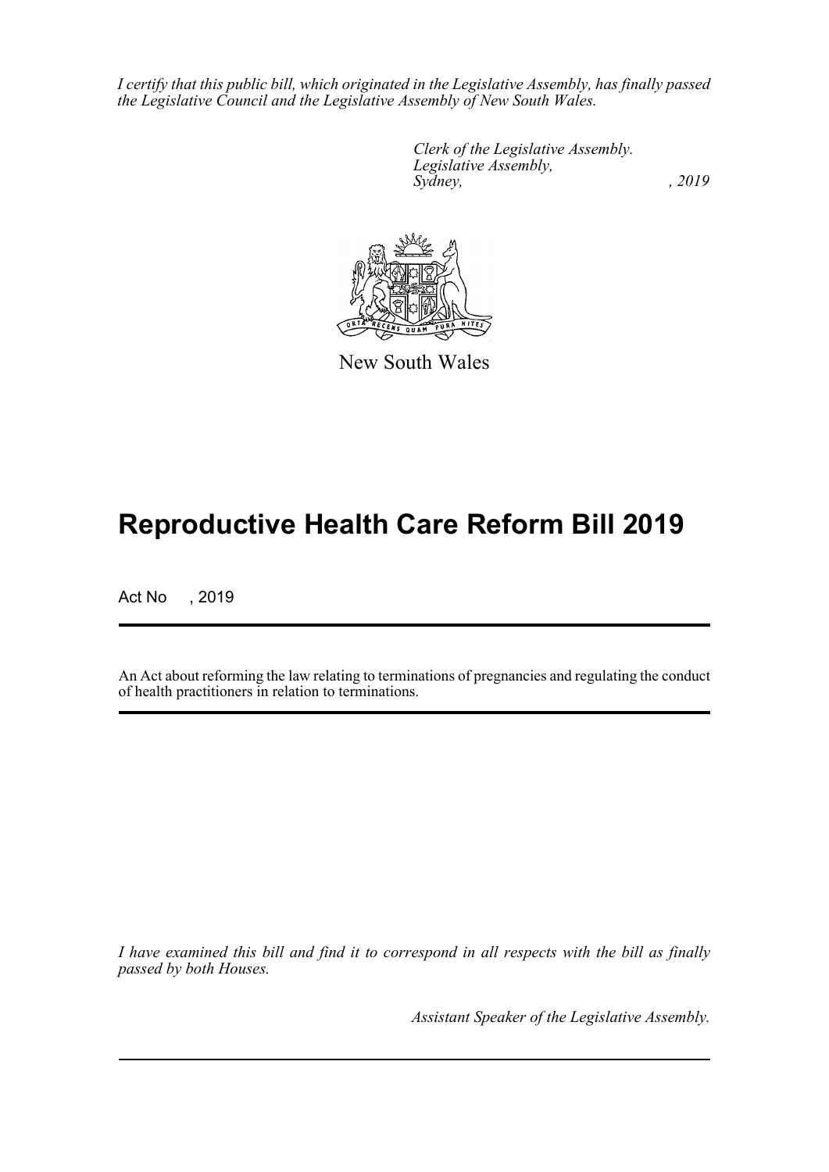*I certify that this public bill, which originated in the Legislative Assembly, has finally passed the Legislative Council and the Legislative Assembly of New South Wales.*

> *Clerk of the Legislative Assembly. Legislative Assembly, Sydney,* , 2019



New South Wales

# **Reproductive Health Care Reform Bill 2019**

Act No , 2019

An Act about reforming the law relating to terminations of pregnancies and regulating the conduct of health practitioners in relation to terminations.

*I have examined this bill and find it to correspond in all respects with the bill as finally passed by both Houses.*

*Assistant Speaker of the Legislative Assembly.*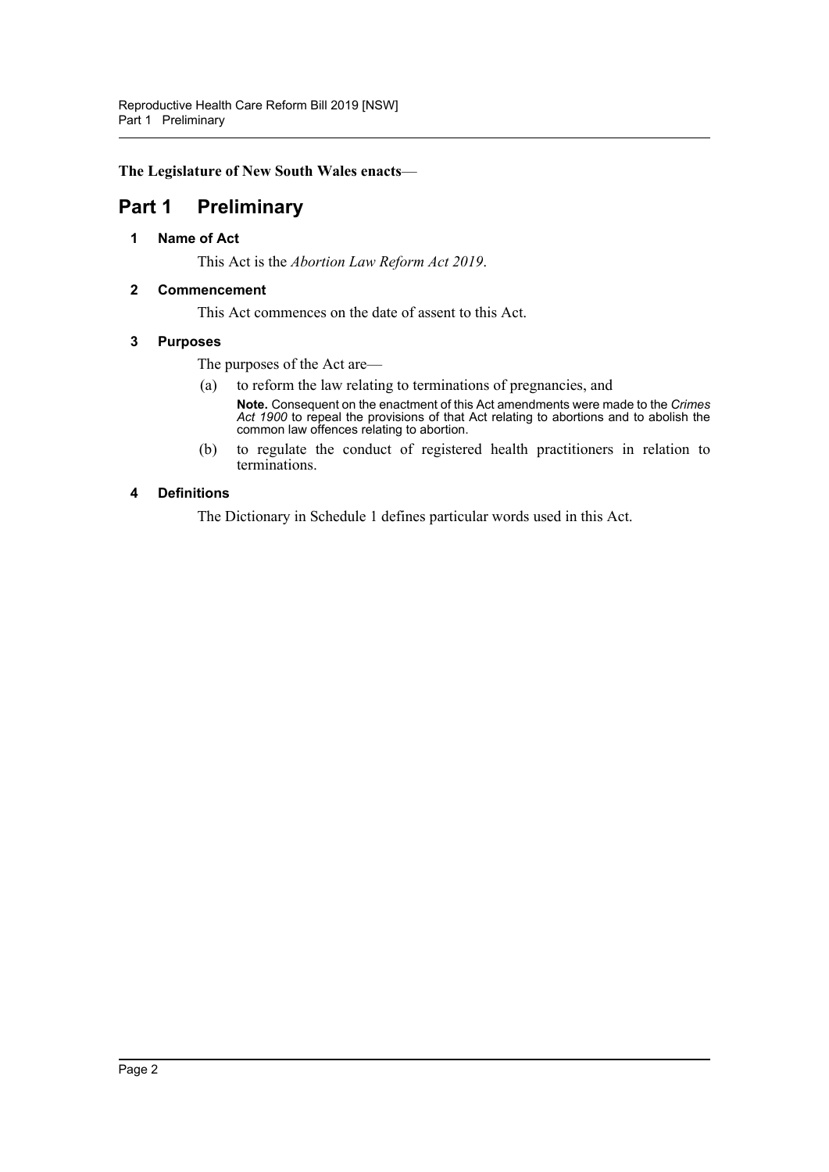**The Legislature of New South Wales enacts**—

## <span id="page-3-1"></span><span id="page-3-0"></span>**Part 1 Preliminary**

#### **1 Name of Act**

This Act is the *Abortion Law Reform Act 2019*.

#### <span id="page-3-2"></span>**2 Commencement**

This Act commences on the date of assent to this Act.

#### <span id="page-3-3"></span>**3 Purposes**

The purposes of the Act are—

- (a) to reform the law relating to terminations of pregnancies, and
	- **Note.** Consequent on the enactment of this Act amendments were made to the *Crimes Act 1900* to repeal the provisions of that Act relating to abortions and to abolish the common law offences relating to abortion.
- (b) to regulate the conduct of registered health practitioners in relation to terminations.

#### <span id="page-3-4"></span>**4 Definitions**

The Dictionary in Schedule 1 defines particular words used in this Act.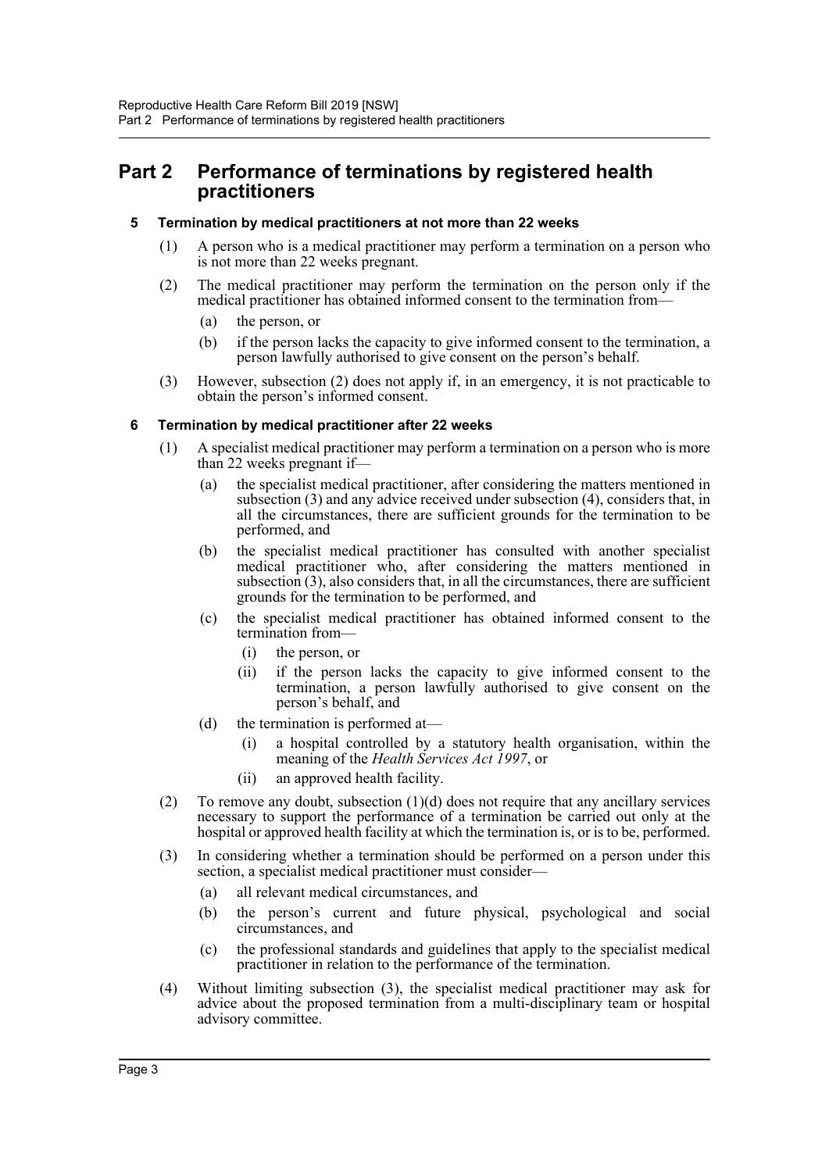## <span id="page-4-0"></span>**Part 2 Performance of terminations by registered health practitioners**

#### <span id="page-4-1"></span>**5 Termination by medical practitioners at not more than 22 weeks**

- (1) A person who is a medical practitioner may perform a termination on a person who is not more than 22 weeks pregnant.
- (2) The medical practitioner may perform the termination on the person only if the medical practitioner has obtained informed consent to the termination from—
	- (a) the person, or
	- (b) if the person lacks the capacity to give informed consent to the termination, a person lawfully authorised to give consent on the person's behalf.
- (3) However, subsection (2) does not apply if, in an emergency, it is not practicable to obtain the person's informed consent.

#### <span id="page-4-2"></span>**6 Termination by medical practitioner after 22 weeks**

- (1) A specialist medical practitioner may perform a termination on a person who is more than 22 weeks pregnant if—
	- (a) the specialist medical practitioner, after considering the matters mentioned in subsection (3) and any advice received under subsection (4), considers that, in all the circumstances, there are sufficient grounds for the termination to be performed, and
	- (b) the specialist medical practitioner has consulted with another specialist medical practitioner who, after considering the matters mentioned in subsection (3), also considers that, in all the circumstances, there are sufficient grounds for the termination to be performed, and
	- (c) the specialist medical practitioner has obtained informed consent to the termination from—
		- (i) the person, or
		- (ii) if the person lacks the capacity to give informed consent to the termination, a person lawfully authorised to give consent on the person's behalf, and
	- (d) the termination is performed at—
		- (i) a hospital controlled by a statutory health organisation, within the meaning of the *Health Services Act 1997*, or
		- (ii) an approved health facility.
- (2) To remove any doubt, subsection  $(1)(d)$  does not require that any ancillary services necessary to support the performance of a termination be carried out only at the hospital or approved health facility at which the termination is, or is to be, performed.
- (3) In considering whether a termination should be performed on a person under this section, a specialist medical practitioner must consider—
	- (a) all relevant medical circumstances, and
	- (b) the person's current and future physical, psychological and social circumstances, and
	- (c) the professional standards and guidelines that apply to the specialist medical practitioner in relation to the performance of the termination.
- (4) Without limiting subsection (3), the specialist medical practitioner may ask for advice about the proposed termination from a multi-disciplinary team or hospital advisory committee.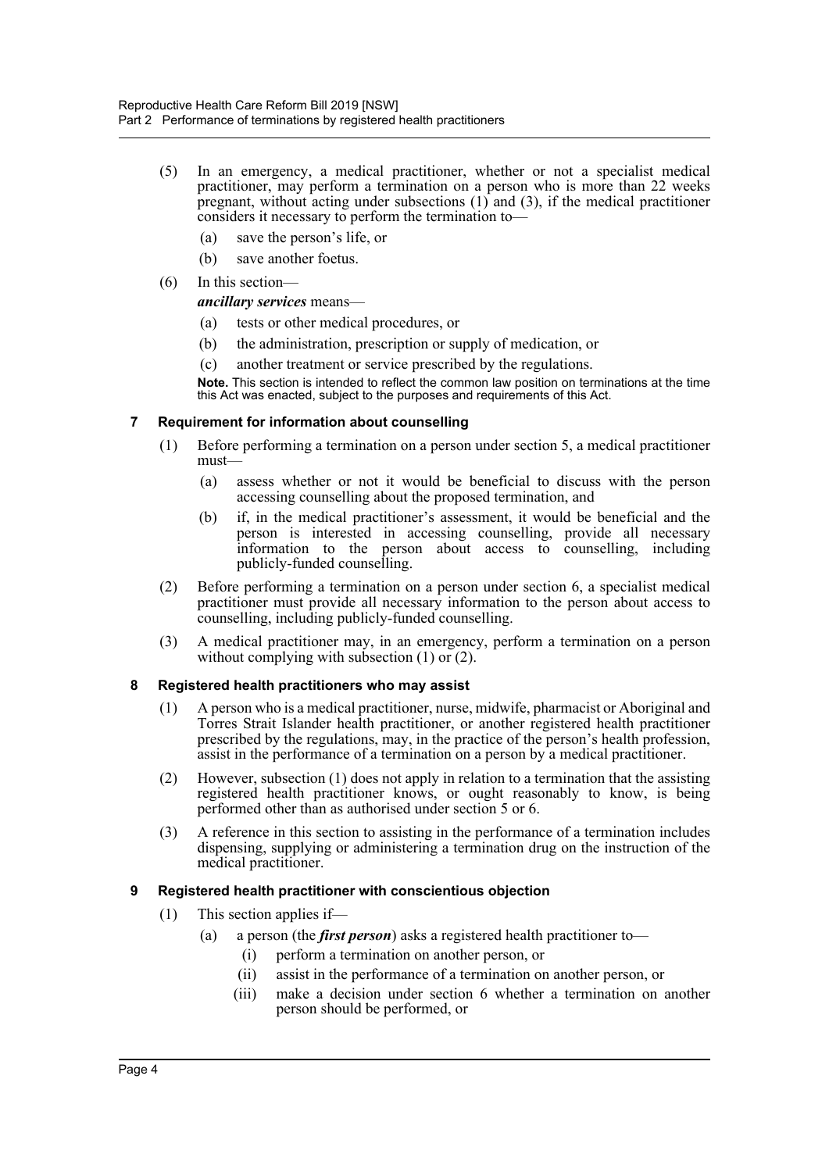- (5) In an emergency, a medical practitioner, whether or not a specialist medical practitioner, may perform a termination on a person who is more than 22 weeks pregnant, without acting under subsections (1) and (3), if the medical practitioner considers it necessary to perform the termination to—
	- (a) save the person's life, or
	- (b) save another foetus.
- (6) In this section—

*ancillary services* means—

- (a) tests or other medical procedures, or
- (b) the administration, prescription or supply of medication, or
- (c) another treatment or service prescribed by the regulations.

**Note.** This section is intended to reflect the common law position on terminations at the time this Act was enacted, subject to the purposes and requirements of this Act.

### <span id="page-5-0"></span>**7 Requirement for information about counselling**

- (1) Before performing a termination on a person under section 5, a medical practitioner must—
	- (a) assess whether or not it would be beneficial to discuss with the person accessing counselling about the proposed termination, and
	- (b) if, in the medical practitioner's assessment, it would be beneficial and the person is interested in accessing counselling, provide all necessary information to the person about access to counselling, including publicly-funded counselling.
- (2) Before performing a termination on a person under section 6, a specialist medical practitioner must provide all necessary information to the person about access to counselling, including publicly-funded counselling.
- (3) A medical practitioner may, in an emergency, perform a termination on a person without complying with subsection  $(1)$  or  $(2)$ .

#### <span id="page-5-1"></span>**8 Registered health practitioners who may assist**

- (1) A person who is a medical practitioner, nurse, midwife, pharmacist or Aboriginal and Torres Strait Islander health practitioner, or another registered health practitioner prescribed by the regulations, may, in the practice of the person's health profession, assist in the performance of a termination on a person by a medical practitioner.
- (2) However, subsection (1) does not apply in relation to a termination that the assisting registered health practitioner knows, or ought reasonably to know, is being performed other than as authorised under section 5 or 6.
- (3) A reference in this section to assisting in the performance of a termination includes dispensing, supplying or administering a termination drug on the instruction of the medical practitioner.

### <span id="page-5-2"></span>**9 Registered health practitioner with conscientious objection**

- (1) This section applies if—
	- (a) a person (the *first person*) asks a registered health practitioner to—
		- (i) perform a termination on another person, or
		- (ii) assist in the performance of a termination on another person, or
		- (iii) make a decision under section 6 whether a termination on another person should be performed, or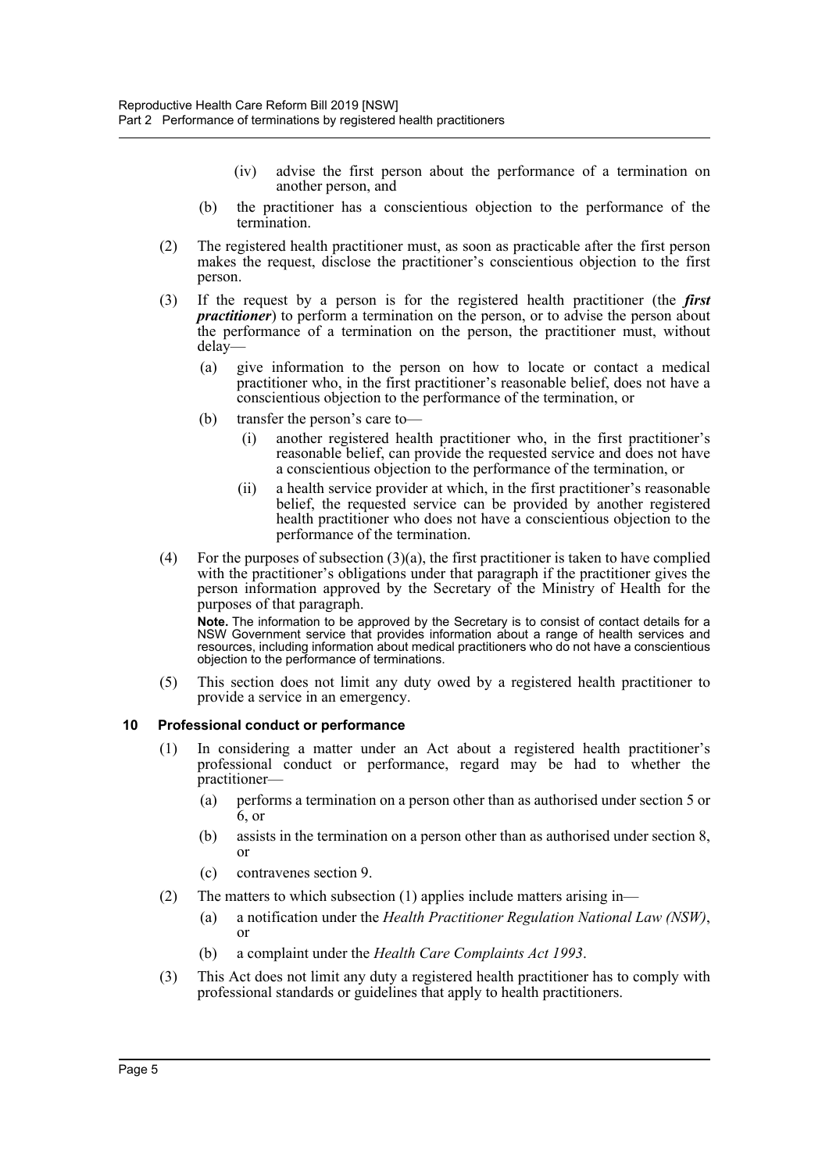- (iv) advise the first person about the performance of a termination on another person, and
- (b) the practitioner has a conscientious objection to the performance of the termination.
- (2) The registered health practitioner must, as soon as practicable after the first person makes the request, disclose the practitioner's conscientious objection to the first person.
- (3) If the request by a person is for the registered health practitioner (the *first practitioner*) to perform a termination on the person, or to advise the person about the performance of a termination on the person, the practitioner must, without delay—
	- (a) give information to the person on how to locate or contact a medical practitioner who, in the first practitioner's reasonable belief, does not have a conscientious objection to the performance of the termination, or
	- (b) transfer the person's care to—
		- (i) another registered health practitioner who, in the first practitioner's reasonable belief, can provide the requested service and does not have a conscientious objection to the performance of the termination, or
		- (ii) a health service provider at which, in the first practitioner's reasonable belief, the requested service can be provided by another registered health practitioner who does not have a conscientious objection to the performance of the termination.
- (4) For the purposes of subsection  $(3)(a)$ , the first practitioner is taken to have complied with the practitioner's obligations under that paragraph if the practitioner gives the person information approved by the Secretary of the Ministry of Health for the purposes of that paragraph.

**Note.** The information to be approved by the Secretary is to consist of contact details for a NSW Government service that provides information about a range of health services and resources, including information about medical practitioners who do not have a conscientious objection to the performance of terminations.

(5) This section does not limit any duty owed by a registered health practitioner to provide a service in an emergency.

#### <span id="page-6-0"></span>**10 Professional conduct or performance**

- (1) In considering a matter under an Act about a registered health practitioner's professional conduct or performance, regard may be had to whether the practitioner—
	- (a) performs a termination on a person other than as authorised under section 5 or 6, or
	- (b) assists in the termination on a person other than as authorised under section 8, or
	- (c) contravenes section 9.
- (2) The matters to which subsection  $(1)$  applies include matters arising in—
	- (a) a notification under the *Health Practitioner Regulation National Law (NSW)*, or
	- (b) a complaint under the *Health Care Complaints Act 1993*.
- (3) This Act does not limit any duty a registered health practitioner has to comply with professional standards or guidelines that apply to health practitioners.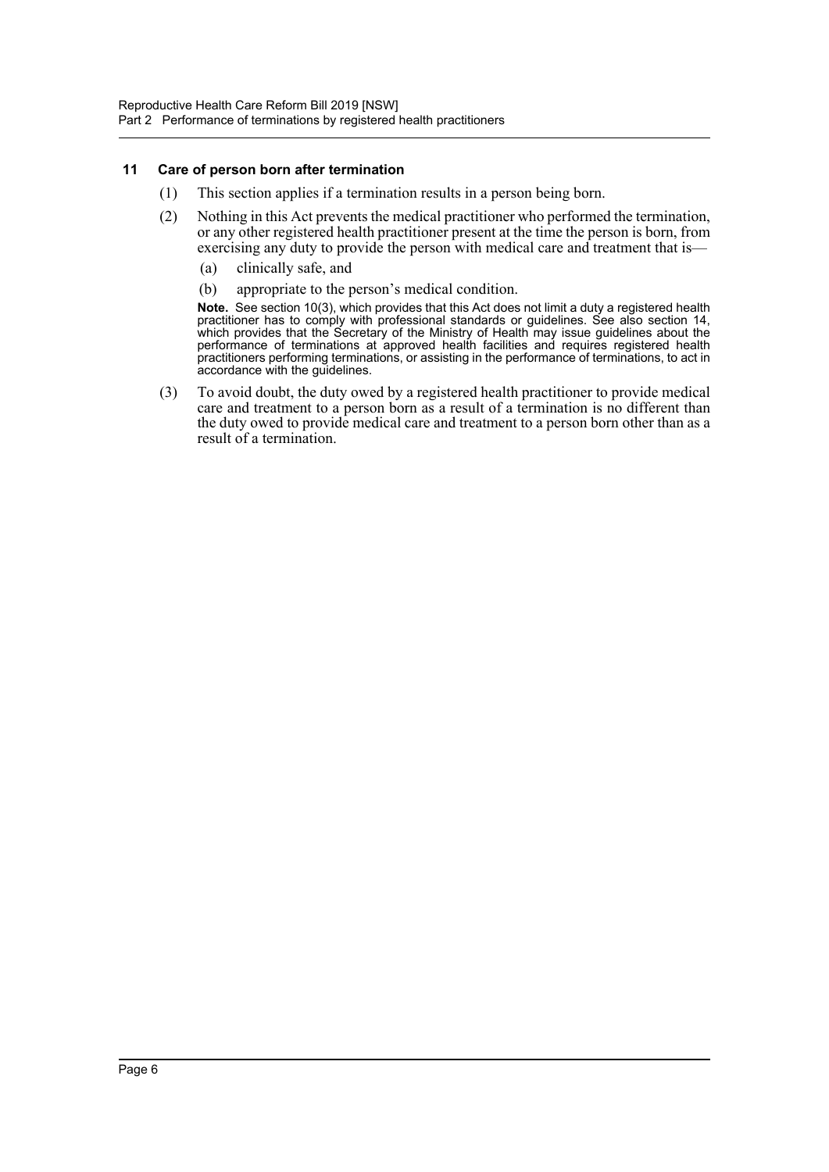#### <span id="page-7-0"></span>**11 Care of person born after termination**

- (1) This section applies if a termination results in a person being born.
- (2) Nothing in this Act prevents the medical practitioner who performed the termination, or any other registered health practitioner present at the time the person is born, from exercising any duty to provide the person with medical care and treatment that is—
	- (a) clinically safe, and
	- (b) appropriate to the person's medical condition.

**Note.** See section 10(3), which provides that this Act does not limit a duty a registered health practitioner has to comply with professional standards or guidelines. See also section 14, which provides that the Secretary of the Ministry of Health may issue guidelines about the performance of terminations at approved health facilities and requires registered health practitioners performing terminations, or assisting in the performance of terminations, to act in accordance with the guidelines.

(3) To avoid doubt, the duty owed by a registered health practitioner to provide medical care and treatment to a person born as a result of a termination is no different than the duty owed to provide medical care and treatment to a person born other than as a result of a termination.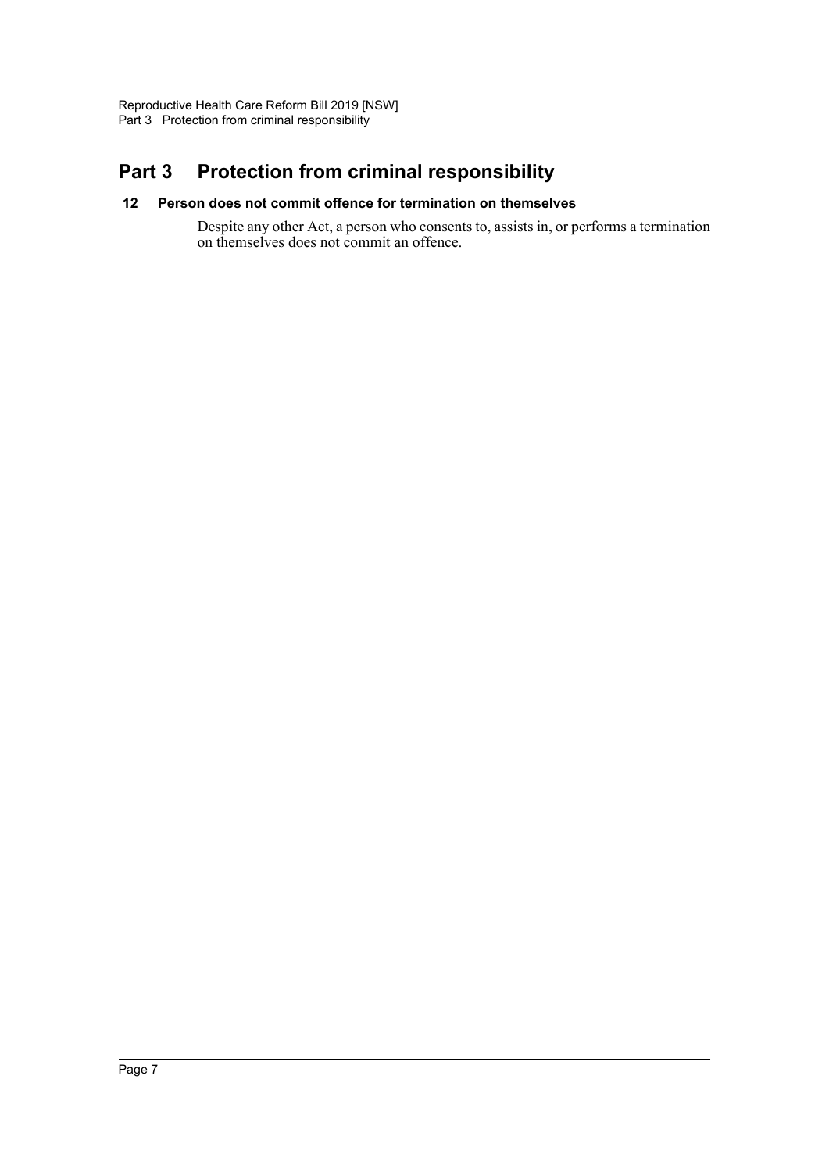# <span id="page-8-0"></span>**Part 3 Protection from criminal responsibility**

#### <span id="page-8-1"></span>**12 Person does not commit offence for termination on themselves**

Despite any other Act, a person who consents to, assists in, or performs a termination on themselves does not commit an offence.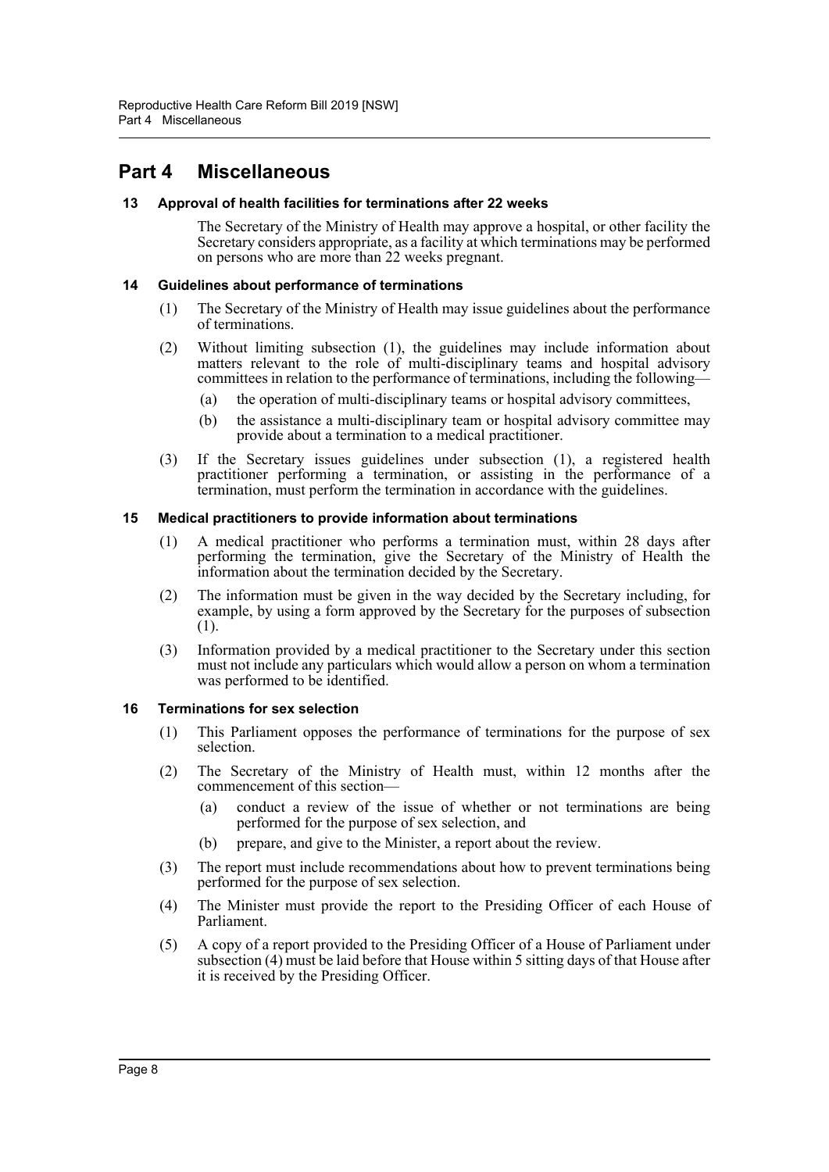## <span id="page-9-0"></span>**Part 4 Miscellaneous**

#### <span id="page-9-1"></span>**13 Approval of health facilities for terminations after 22 weeks**

The Secretary of the Ministry of Health may approve a hospital, or other facility the Secretary considers appropriate, as a facility at which terminations may be performed on persons who are more than 22 weeks pregnant.

#### <span id="page-9-2"></span>**14 Guidelines about performance of terminations**

- (1) The Secretary of the Ministry of Health may issue guidelines about the performance of terminations.
- (2) Without limiting subsection (1), the guidelines may include information about matters relevant to the role of multi-disciplinary teams and hospital advisory committees in relation to the performance of terminations, including the following—
	- (a) the operation of multi-disciplinary teams or hospital advisory committees,
	- (b) the assistance a multi-disciplinary team or hospital advisory committee may provide about a termination to a medical practitioner.
- (3) If the Secretary issues guidelines under subsection (1), a registered health practitioner performing a termination, or assisting in the performance of a termination, must perform the termination in accordance with the guidelines.

#### <span id="page-9-3"></span>**15 Medical practitioners to provide information about terminations**

- (1) A medical practitioner who performs a termination must, within 28 days after performing the termination, give the Secretary of the Ministry of Health the information about the termination decided by the Secretary.
- (2) The information must be given in the way decided by the Secretary including, for example, by using a form approved by the Secretary for the purposes of subsection (1).
- (3) Information provided by a medical practitioner to the Secretary under this section must not include any particulars which would allow a person on whom a termination was performed to be identified.

#### <span id="page-9-4"></span>**16 Terminations for sex selection**

- (1) This Parliament opposes the performance of terminations for the purpose of sex selection.
- (2) The Secretary of the Ministry of Health must, within 12 months after the commencement of this section—
	- (a) conduct a review of the issue of whether or not terminations are being performed for the purpose of sex selection, and
	- (b) prepare, and give to the Minister, a report about the review.
- (3) The report must include recommendations about how to prevent terminations being performed for the purpose of sex selection.
- (4) The Minister must provide the report to the Presiding Officer of each House of Parliament.
- (5) A copy of a report provided to the Presiding Officer of a House of Parliament under subsection (4) must be laid before that House within 5 sitting days of that House after it is received by the Presiding Officer.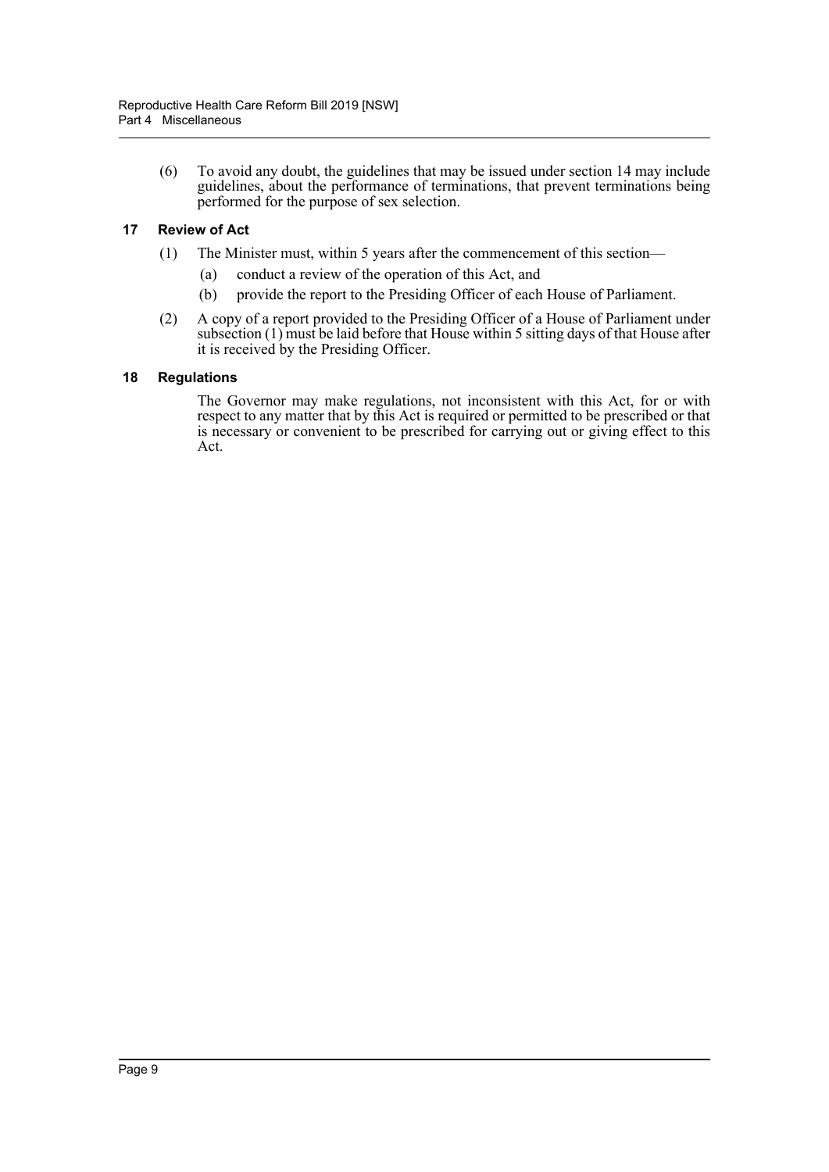(6) To avoid any doubt, the guidelines that may be issued under section 14 may include guidelines, about the performance of terminations, that prevent terminations being performed for the purpose of sex selection.

#### <span id="page-10-0"></span>**17 Review of Act**

- (1) The Minister must, within 5 years after the commencement of this section—
	- (a) conduct a review of the operation of this Act, and
	- (b) provide the report to the Presiding Officer of each House of Parliament.
- (2) A copy of a report provided to the Presiding Officer of a House of Parliament under subsection (1) must be laid before that House within 5 sitting days of that House after it is received by the Presiding Officer.

#### <span id="page-10-1"></span>**18 Regulations**

The Governor may make regulations, not inconsistent with this Act, for or with respect to any matter that by this Act is required or permitted to be prescribed or that is necessary or convenient to be prescribed for carrying out or giving effect to this Act.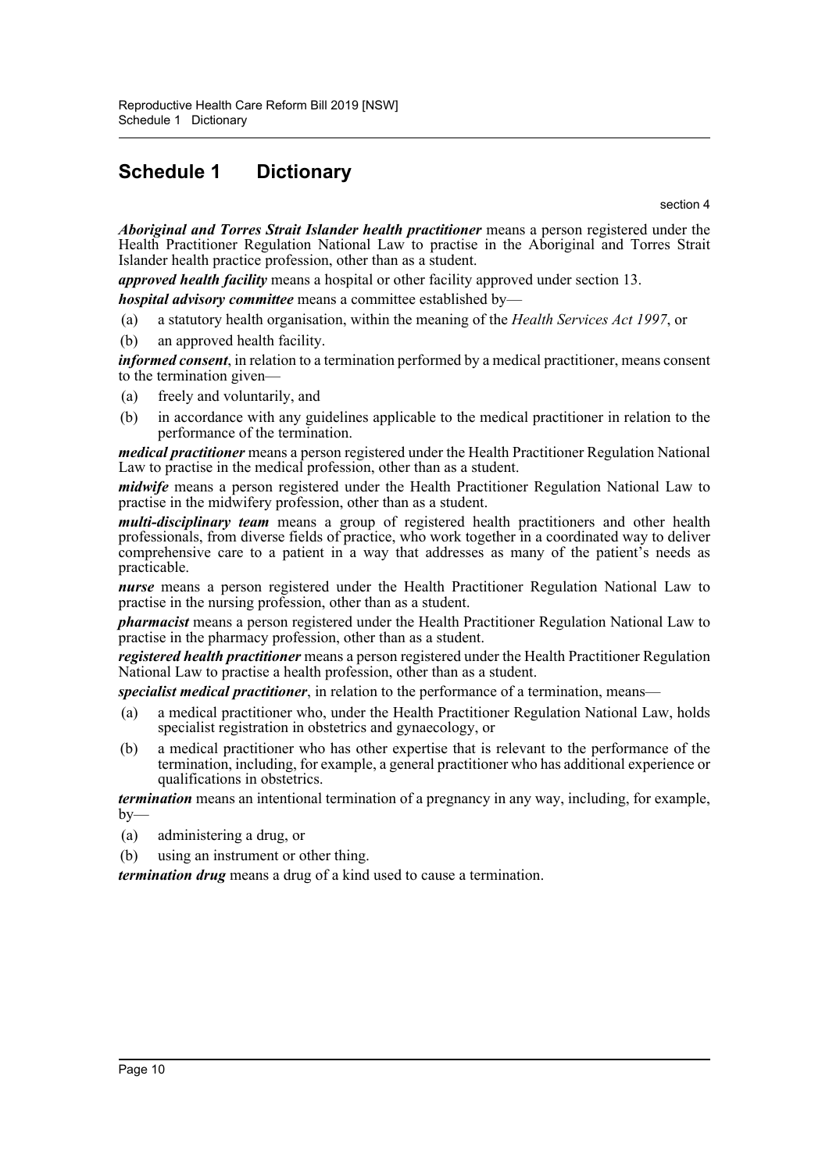# <span id="page-11-0"></span>**Schedule 1 Dictionary**

section 4

*Aboriginal and Torres Strait Islander health practitioner* means a person registered under the Health Practitioner Regulation National Law to practise in the Aboriginal and Torres Strait Islander health practice profession, other than as a student.

*approved health facility* means a hospital or other facility approved under section 13.

*hospital advisory committee* means a committee established by—

- (a) a statutory health organisation, within the meaning of the *Health Services Act 1997*, or
- (b) an approved health facility.

*informed consent*, in relation to a termination performed by a medical practitioner, means consent to the termination given—

- (a) freely and voluntarily, and
- (b) in accordance with any guidelines applicable to the medical practitioner in relation to the performance of the termination.

*medical practitioner* means a person registered under the Health Practitioner Regulation National Law to practise in the medical profession, other than as a student.

*midwife* means a person registered under the Health Practitioner Regulation National Law to practise in the midwifery profession, other than as a student.

*multi-disciplinary team* means a group of registered health practitioners and other health professionals, from diverse fields of practice, who work together in a coordinated way to deliver comprehensive care to a patient in a way that addresses as many of the patient's needs as practicable.

*nurse* means a person registered under the Health Practitioner Regulation National Law to practise in the nursing profession, other than as a student.

*pharmacist* means a person registered under the Health Practitioner Regulation National Law to practise in the pharmacy profession, other than as a student.

*registered health practitioner* means a person registered under the Health Practitioner Regulation National Law to practise a health profession, other than as a student.

*specialist medical practitioner*, in relation to the performance of a termination, means—

- (a) a medical practitioner who, under the Health Practitioner Regulation National Law, holds specialist registration in obstetrics and gynaecology, or
- (b) a medical practitioner who has other expertise that is relevant to the performance of the termination, including, for example, a general practitioner who has additional experience or qualifications in obstetrics.

*termination* means an intentional termination of a pregnancy in any way, including, for example,  $by-$ 

- (a) administering a drug, or
- (b) using an instrument or other thing.

*termination drug* means a drug of a kind used to cause a termination.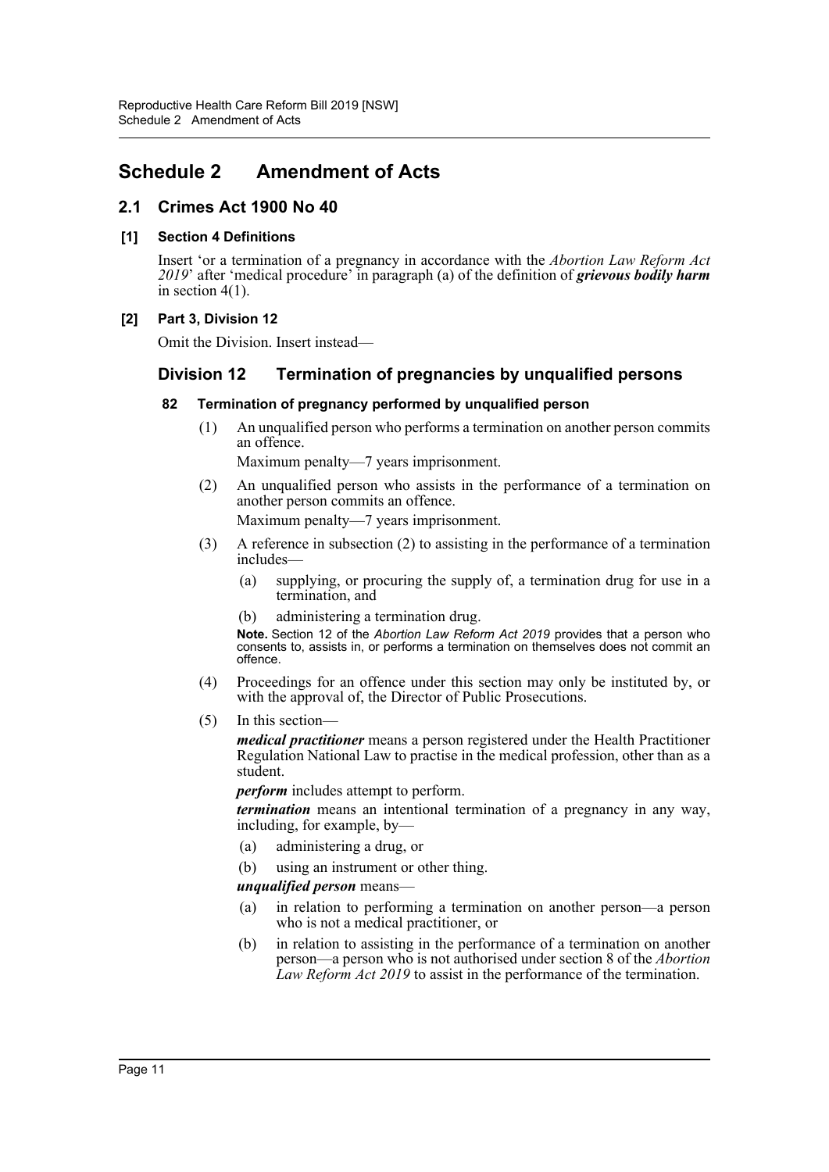## <span id="page-12-0"></span>**Schedule 2 Amendment of Acts**

### **2.1 Crimes Act 1900 No 40**

#### **[1] Section 4 Definitions**

Insert 'or a termination of a pregnancy in accordance with the *Abortion Law Reform Act 2019*' after 'medical procedure' in paragraph (a) of the definition of *grievous bodily harm* in section 4(1).

#### **[2] Part 3, Division 12**

Omit the Division. Insert instead—

## **Division 12 Termination of pregnancies by unqualified persons**

#### **82 Termination of pregnancy performed by unqualified person**

(1) An unqualified person who performs a termination on another person commits an offence.

Maximum penalty—7 years imprisonment.

- (2) An unqualified person who assists in the performance of a termination on another person commits an offence. Maximum penalty—7 years imprisonment.
- (3) A reference in subsection (2) to assisting in the performance of a termination includes—
	- (a) supplying, or procuring the supply of, a termination drug for use in a termination, and
	- (b) administering a termination drug.

**Note.** Section 12 of the *Abortion Law Reform Act 2019* provides that a person who consents to, assists in, or performs a termination on themselves does not commit an offence.

- (4) Proceedings for an offence under this section may only be instituted by, or with the approval of, the Director of Public Prosecutions.
- (5) In this section—

*medical practitioner* means a person registered under the Health Practitioner Regulation National Law to practise in the medical profession, other than as a student.

*perform* includes attempt to perform.

*termination* means an intentional termination of a pregnancy in any way, including, for example, by—

- (a) administering a drug, or
- (b) using an instrument or other thing.

#### *unqualified person* means—

- (a) in relation to performing a termination on another person—a person who is not a medical practitioner, or
- (b) in relation to assisting in the performance of a termination on another person—a person who is not authorised under section 8 of the *Abortion Law Reform Act 2019* to assist in the performance of the termination.